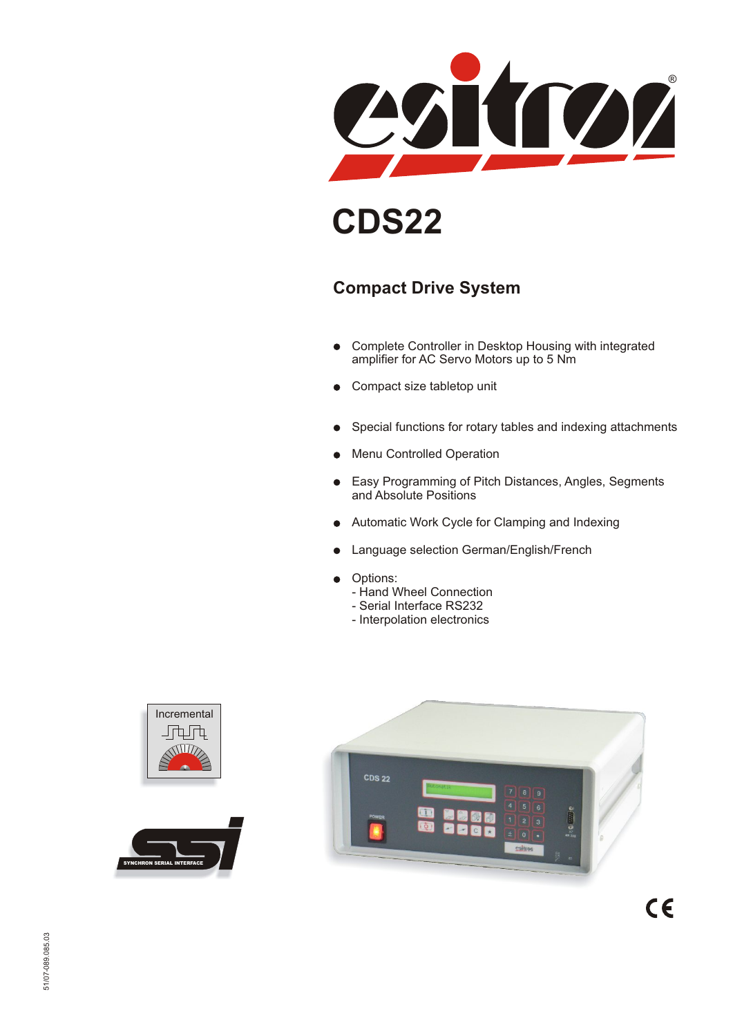

# **CDS22**

### **Compact Drive System**

- Complete Controller in Desktop Housing with integrated  $\bullet$ amplifier for AC Servo Motors up to 5 Nm
- **•** Compact size tabletop unit
- Special functions for rotary tables and indexing attachments $\bullet$
- Menu Controlled Operation
- Easy Programming of Pitch Distances, Angles, Segments  $\bullet$ and Absolute Positions
- Automatic Work Cycle for Clamping and Indexing
- Language selection German/English/French
- **•** Options:
	- Hand Wheel Connection
	- Serial Interface RS232
	- Interpolation electronics





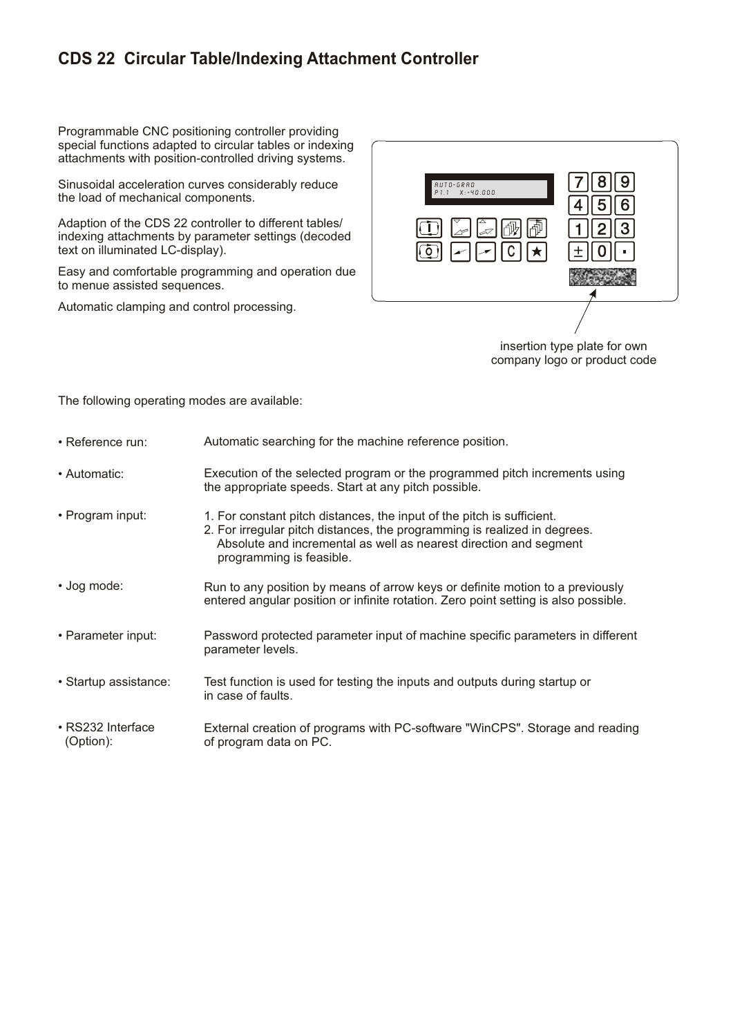#### **CDS 22 Circular Table/Indexing Attachment Controller**

Programmable CNC positioning controller providing special functions adapted to circular tables or indexing attachments with position-controlled driving systems.

Sinusoidal acceleration curves considerably reduce the load of mechanical components.

Adaption of the CDS 22 controller to different tables/ indexing attachments by parameter settings (decoded text on illuminated LC-display).

Easy and comfortable programming and operation due to menue assisted sequences.

Automatic clamping and control processing.



company logo or product code

The following operating modes are available:

• Reference run: • Automatic: • Program input: • Jog mode: • Parameter input: • Startup assistance: • RS232 Interface (Option): Automatic searching for the machine reference position. Execution of the selected program or the programmed pitch increments using the appropriate speeds. Start at any pitch possible. Run to any position by means of arrow keys or definite motion to a previously entered angular position or infinite rotation. Zero point setting is also possible. Password protected parameter input of machine specific parameters in different parameter levels. Test function is used for testing the inputs and outputs during startup or in case of faults. External creation of programs with PC-software "WinCPS". Storage and reading of program data on PC. 1. For constant pitch distances, the input of the pitch is sufficient. 2. For irregular pitch distances, the programming is realized in degrees. Absolute and incremental as well as nearest direction and segment programming is feasible.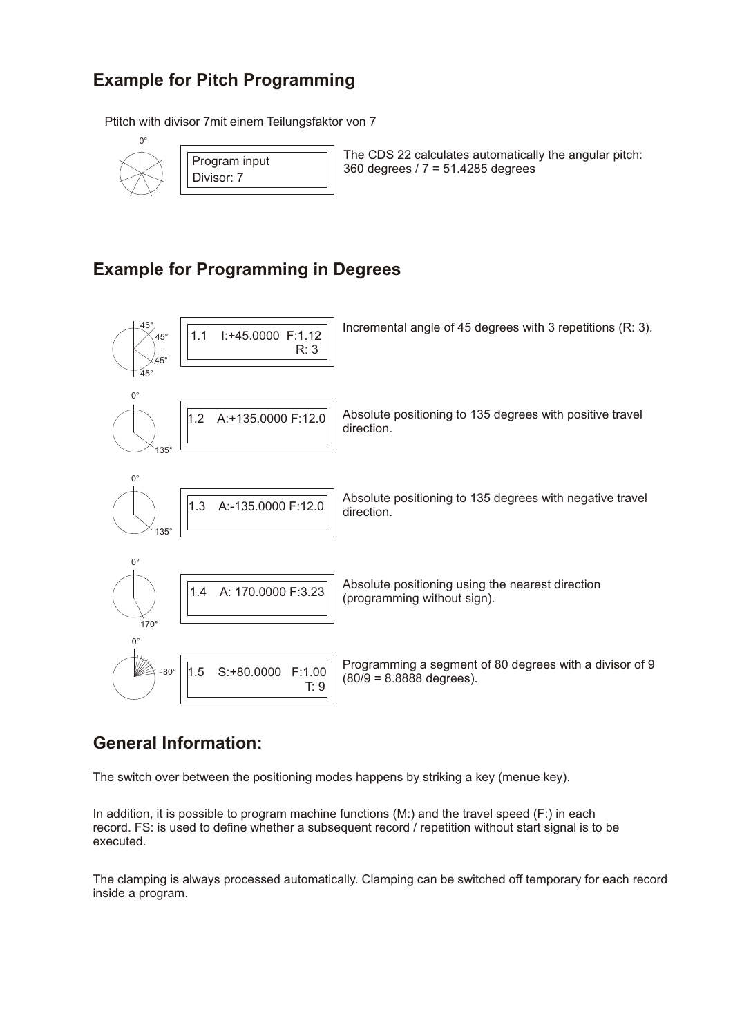### **Example for Pitch Programming**

Ptitch with divisor 7mit einem Teilungsfaktor von 7





The CDS 22 calculates automatically the angular pitch: 360 degrees / 7 = 51.4285 degrees

#### **Example for Programming in Degrees**



#### **General Information:**

The switch over between the positioning modes happens by striking a key (menue key).

In addition, it is possible to program machine functions (M:) and the travel speed (F:) in each record. FS: is used to define whether a subsequent record / repetition without start signal is to be executed.

The clamping is always processed automatically. Clamping can be switched off temporary for each record inside a program.